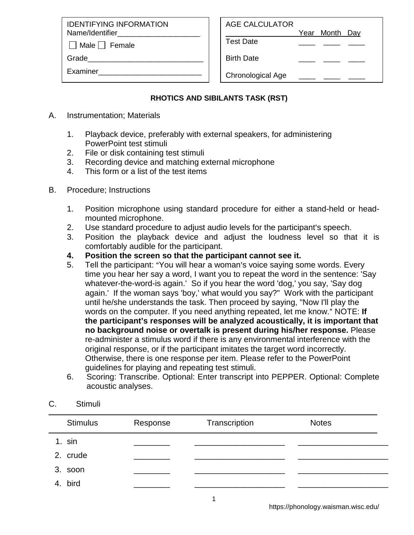IDENTIFYING INFORMATION Name/Identifier

 $\Box$  Male  $\Box$  Female

Grade

Examiner\_\_\_\_\_\_\_\_\_\_\_\_\_\_\_\_\_\_\_\_\_\_\_\_\_

| <b>AGE CALCULATOR</b> |                |  |
|-----------------------|----------------|--|
|                       | Year Month Day |  |

Test Date \_\_\_\_ \_\_\_\_ \_\_\_\_

Birth Date

Chronological Age

## **RHOTICS AND SIBILANTS TASK (RST)**

- A. Instrumentation; Materials
	- 1. Playback device, preferably with external speakers, for administering PowerPoint test stimuli
	- 2. File or disk containing test stimuli
	- 3. Recording device and matching external microphone
	- 4. This form or a list of the test items
- B. Procedure; Instructions
	- 1. Position microphone using standard procedure for either a stand-held or headmounted microphone.
	- 2. Use standard procedure to adjust audio levels for the participant's speech.
	- 3. Position the playback device and adjust the loudness level so that it is comfortably audible for the participant.
	- **4. Position the screen so that the participant cannot see it.**
	- 5. Tell the participant: "You will hear a woman's voice saying some words. Every time you hear her say a word, I want you to repeat the word in the sentence: 'Say whatever-the-word-is again.' So if you hear the word 'dog,' you say, 'Say dog again.' If the woman says 'boy,' what would you say?" Work with the participant until he/she understands the task. Then proceed by saying, "Now I'll play the words on the computer. If you need anything repeated, let me know." NOTE: If **the participant's responses will be analyzed acoustically, it is important that no background noise or overtalk is present during his/her response.** Please re-administer a stimulus word if there is any environmental interference with the original response, or if the participant imitates the target word incorrectly. Otherwise, there is one response per item. Please refer to the PowerPoint guidelines for playing and repeating test stimuli.
	- 6. Scoring: Transcribe. Optional: Enter transcript into PEPPER. Optional: Complete acoustic analyses.

| <b>Stimulus</b> | Response | Transcription | <b>Notes</b> |  |
|-----------------|----------|---------------|--------------|--|
| 1. sin          |          |               |              |  |
| 2. crude        |          |               |              |  |
| 3. soon         |          |               |              |  |
| 4. bird         |          |               |              |  |

## C. Stimuli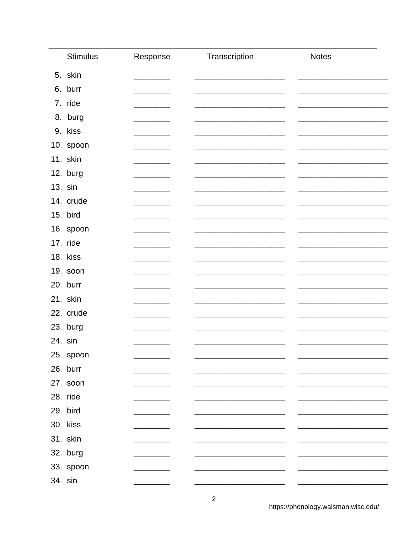| <b>Stimulus</b> | Response | Transcription | <b>Notes</b> |
|-----------------|----------|---------------|--------------|
| 5. skin         |          |               |              |
| 6. burr         |          |               |              |
| 7. ride         |          |               |              |
| 8. burg         |          |               |              |
| 9. kiss         |          |               |              |
| 10. spoon       |          |               |              |
| 11. skin        |          |               |              |
| 12. burg        |          |               |              |
| 13. sin         |          |               |              |
| 14. crude       |          |               |              |
| 15. bird        |          |               |              |
| 16. spoon       |          |               |              |
| 17. ride        |          |               |              |
| 18. kiss        |          |               |              |
| 19. soon        |          |               |              |
| 20. burr        |          |               |              |
| 21. skin        |          |               |              |
| 22. crude       |          |               |              |
| 23. burg        |          |               |              |
| 24. sin         |          |               |              |
| 25. spoon       |          |               |              |
| 26. burr        |          |               |              |
| 27. soon        |          |               |              |
| 28. ride        |          |               |              |
| 29. bird        |          |               |              |
| 30. kiss        |          |               |              |
| 31. skin        |          |               |              |
| 32. burg        |          |               |              |
| 33. spoon       |          |               |              |
| 34. sin         |          |               |              |